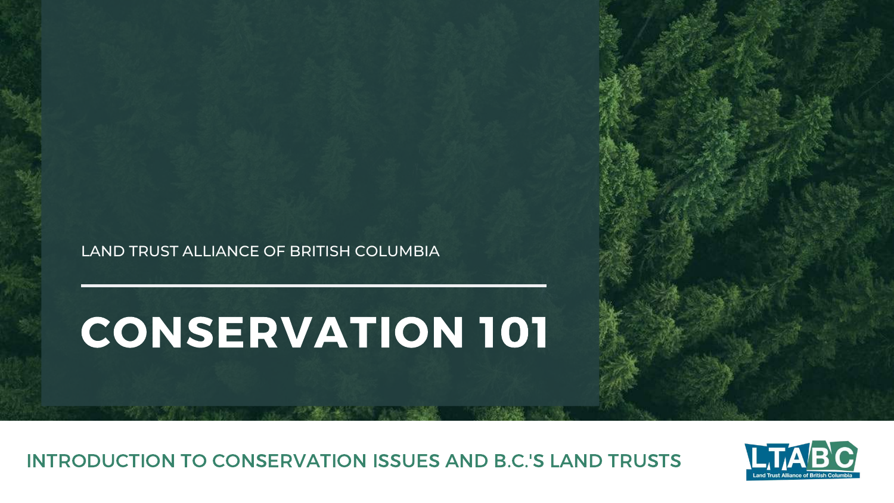# CONSERVATION 101

INTRODUCTION TO CONSERVATION ISSUES AND B.C.'S LAND TRUSTS





LAND TRUST ALLIANCE OF BRITISH COLUMBIA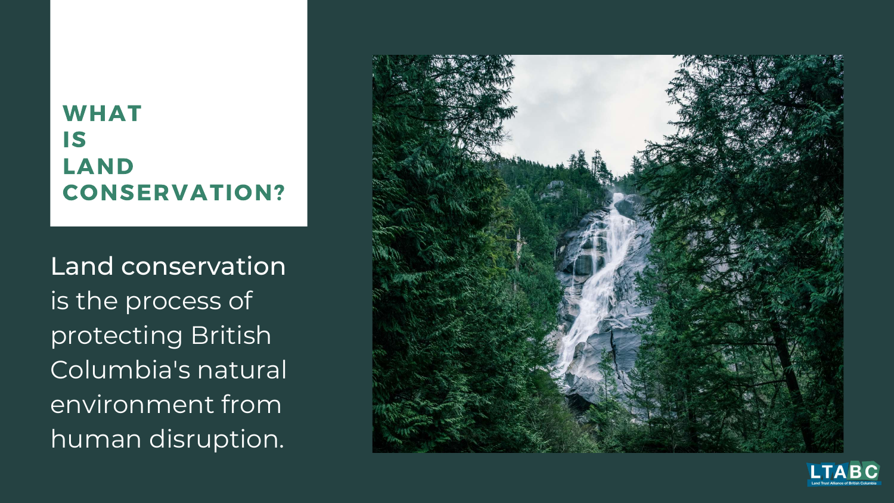### WHAT IS LAND CONSERVATION?

Land conservation is the process of protecting British Columbia's natural environment from human disruption.



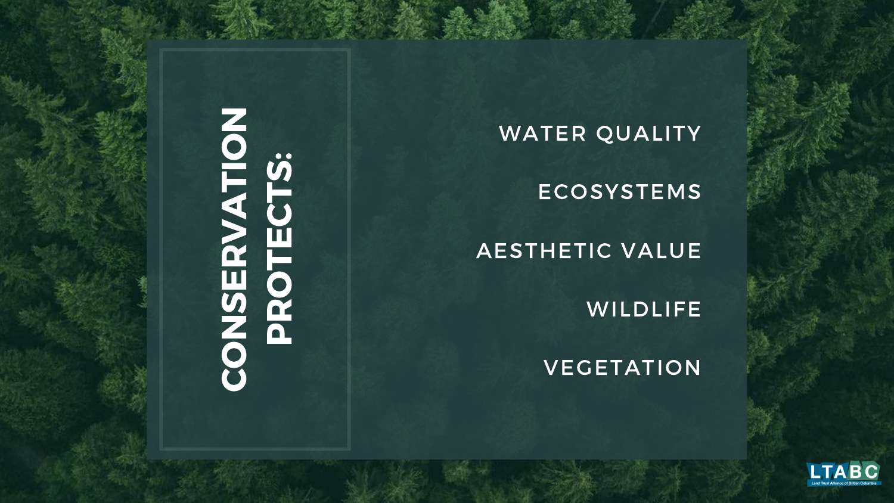# CONSERVATION S:<br>PROTECTS

WATER OUALITY ECOSYSTEMS AESTHETIC VALUE **WILDLIFE VEGETATION** 

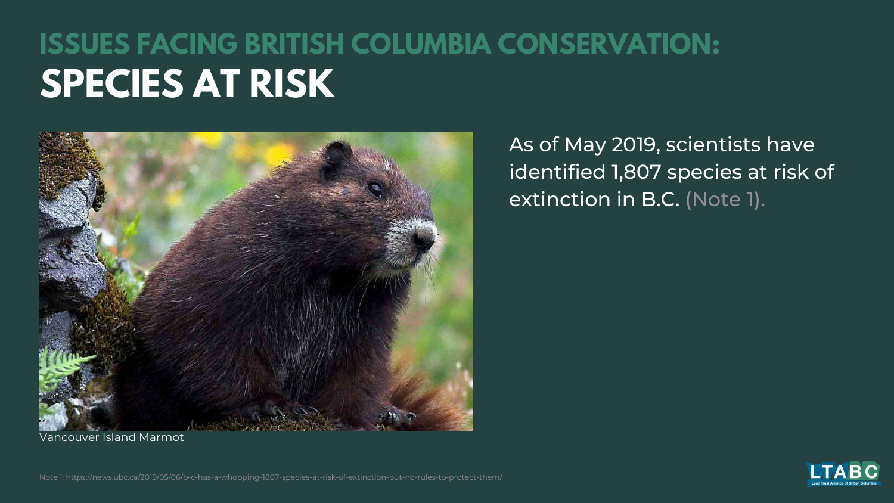### **ISSUES FACING BRITISH COLUMBIA CONSERVATION: SPECIES AT RISK**



As of May 2019, scientists have identified 1,807 species at risk of extinction in B.C. (Note 1).



Vancouver Island Marmot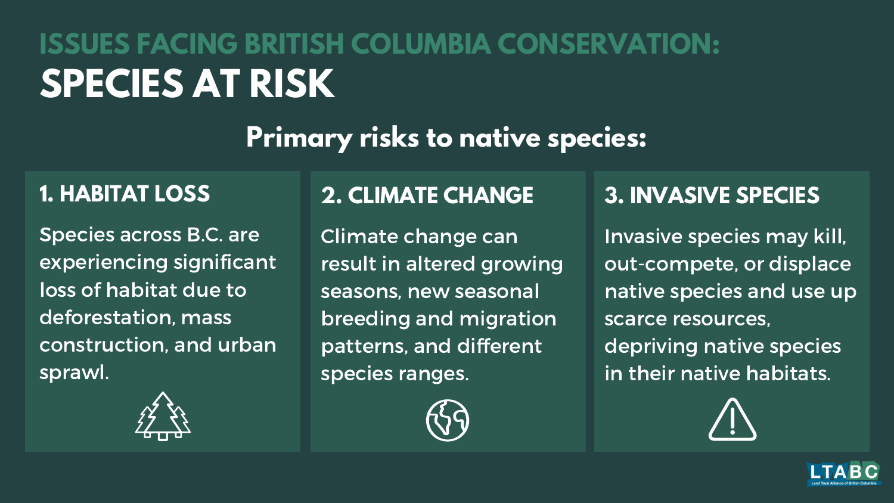## **ISSUES FACING BRITISH COLUMBIA CONSERVATION: SPECIES AT RISK**

### **Primary risks to native species:**

### **1. HABITAT LOSS**

Species across B.C. are experiencing significant loss of habitat due to deforestation, mass construction, and urban sprawl.



### **2. CLIMATE CHANGE**

Climate change can result in altered growing seasons, new seasonal breeding and migration patterns, and different species ranges.



### **3. INVASIVE SPECIES**

Invasive species may kill, out-compete, or displace native species and use up scarce resources, depriving native species in their native habitats.



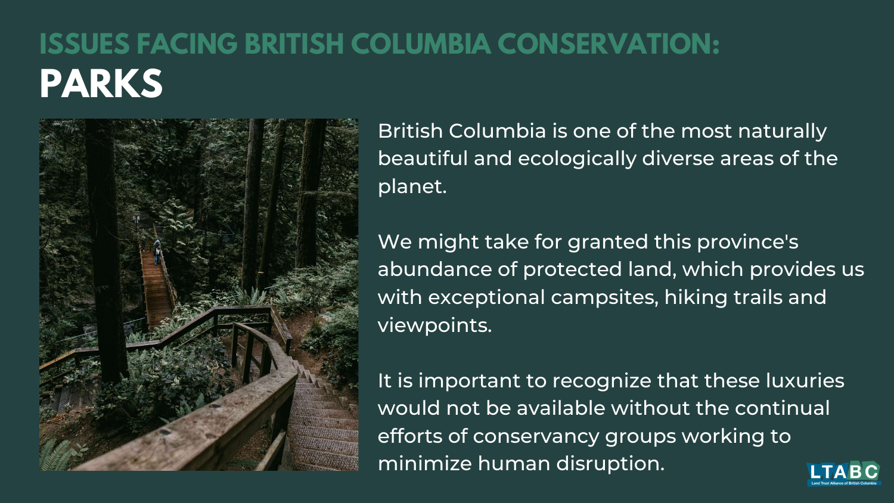### **ISSUES FACING BRITISH COLUMBIA CONSERVATION: PARKS**



British Columbia is one of the most naturally beautiful and ecologically diverse areas of the planet.

We might take for granted this province's abundance of protected land, which provides us with exceptional campsites, hiking trails and viewpoints.

It is important to recognize that these luxuries would not be available without the continual efforts of conservancy groups working to minimize human disruption.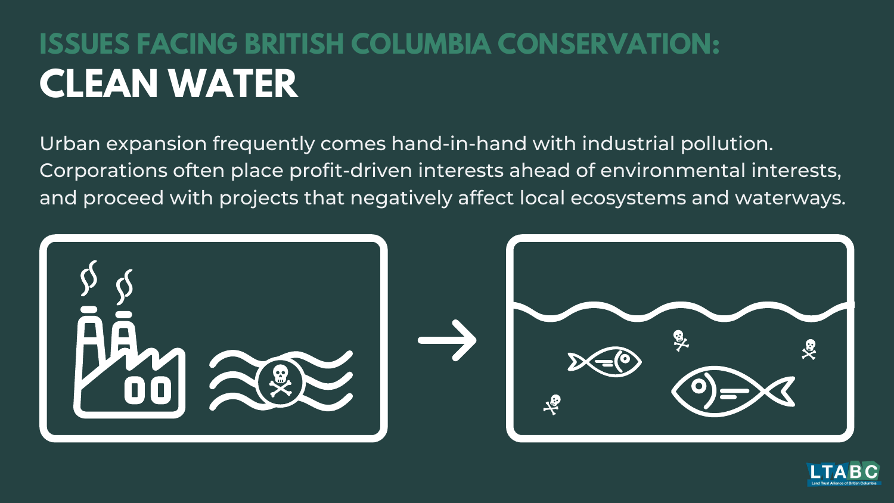### **ISSUES FACING BRITISH COLUMBIA CONSERVATION: CLEAN WATER**

Urban expansion frequently comes hand-in-hand with industrial pollution. Corporations often place profit-driven interests ahead of environmental interests, and proceed with projects that negatively affect local ecosystems and waterways.



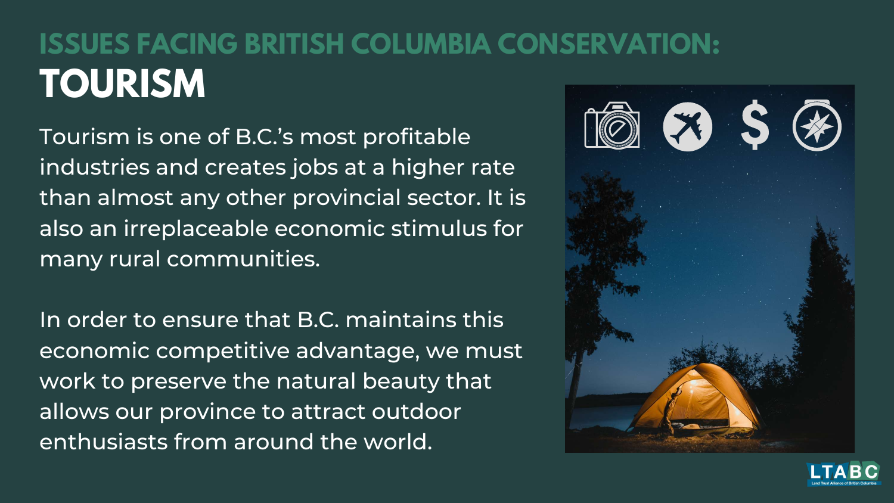### **ISSUES FACING BRITISH COLUMBIA CONSERVATION: TOURISM**

Tourism is one of B.C. 's most profitable industries and creates jobs at a higher rate than almost any other provincial sector. It is also an irreplaceable economic stimulus for many rural communities.

In order to ensure that B.C. maintains this economic competitive advantage, we must work to preserve the natural beauty that allows our province to attract outdoor enthusiasts from around the world.



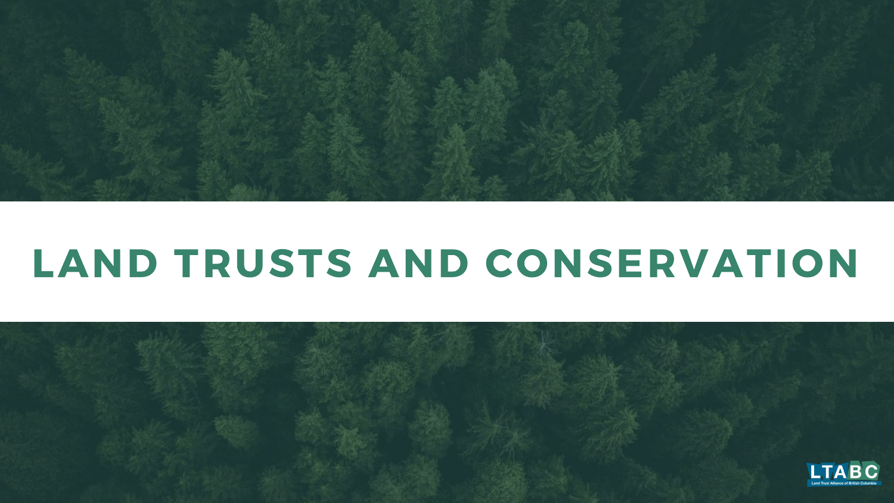

# LAND TRUSTS AND CONSERVATION

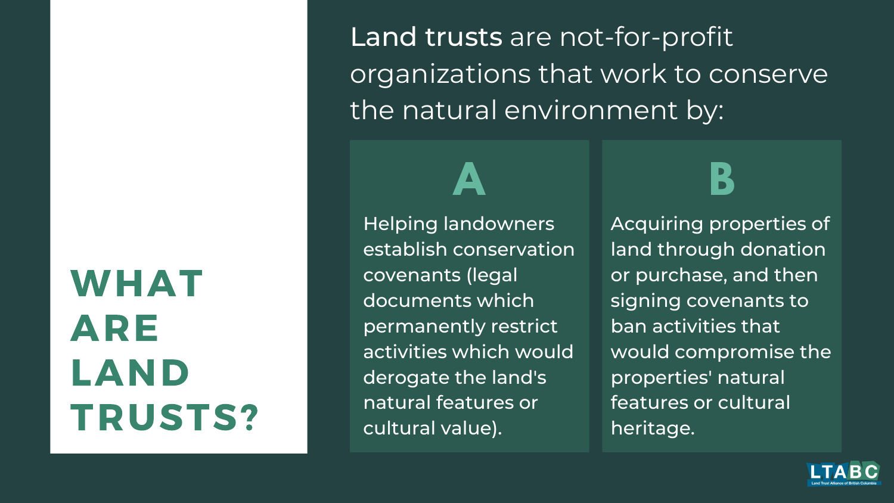# WHAT ARE LAND TRUSTS?

Land trusts are not-for-profit organizations that work to conserve the natural environment by:

Helping landowners establish conservation covenants (legal documents which permanently restrict activities which would derogate the land's natural features or cultural value).

Acquiring properties of land through donation or purchase, and then signing covenants to ban activities that would compromise the properties' natural features or cultural heritage.



**A B**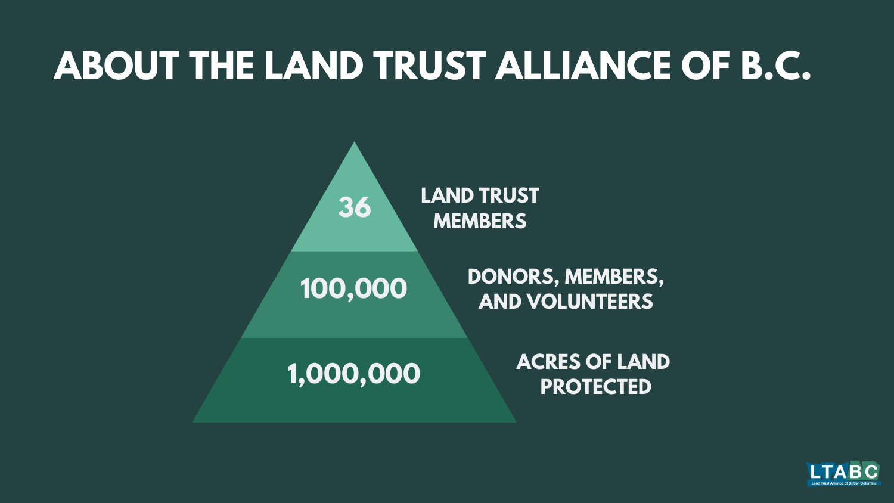### **ACRES OF LAND PROTECTED**



**DONORS, MEMBERS, AND VOLUNTEERS**



# **ABOUT THE LAND TRUST ALLIANCE OF B.C.**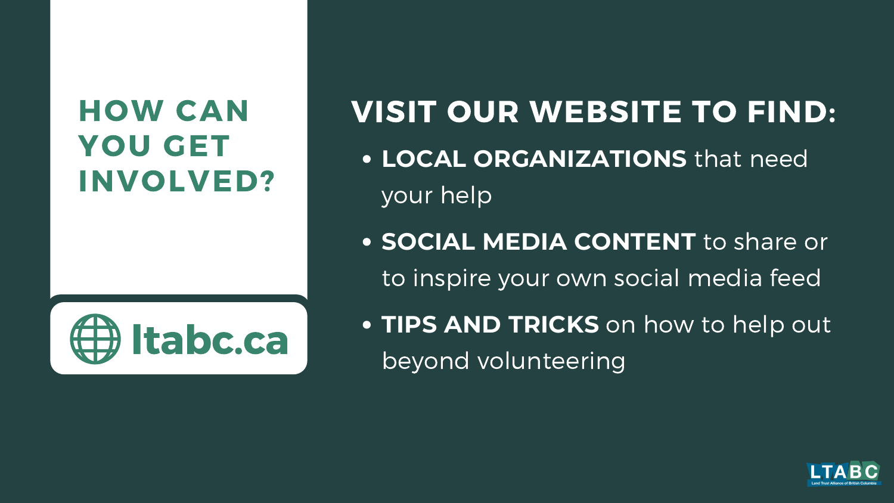### HOW CAN YOU GET INVOLVED?

### VISIT OUR WEBSITE TO FIND: **LOCAL ORGANIZATIONS** that need

your help

**SOCIAL MEDIA CONTENT** to share or to inspire your own social media feed **TIPS AND TRICKS** on how to help out



- 
- beyond volunteering